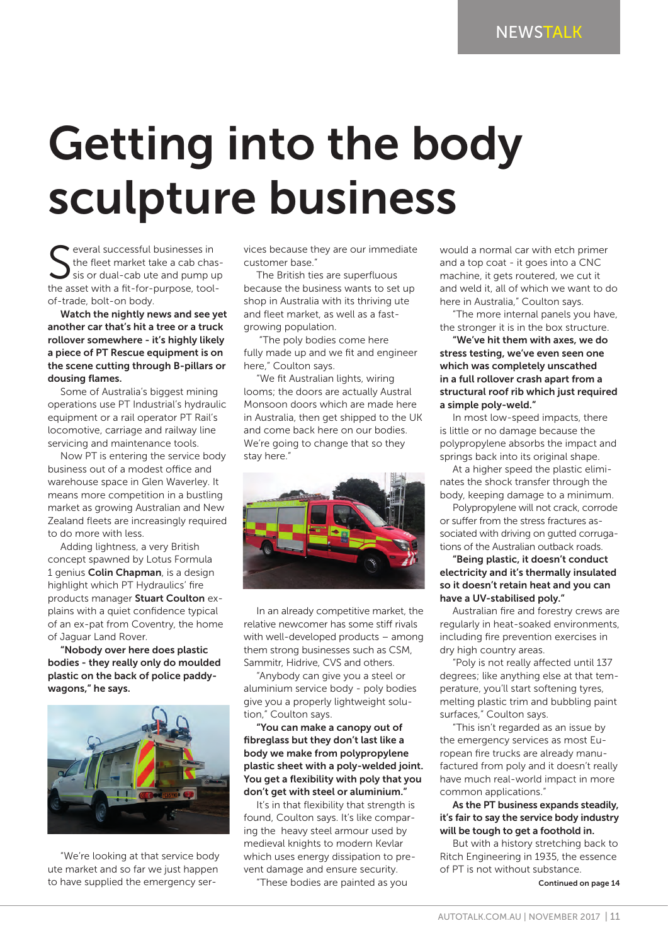## Getting into the body sculpture business

Several successful businesses in<br>the fleet market take a cab chas<br>tis or dual-cab ute and pump up<br>the asset with a fit-for-purpose, tooleveral successful businesses in the fleet market take a cab chassis or dual-cab ute and pump up of-trade, bolt-on body.

Watch the nightly news and see yet another car that's hit a tree or a truck rollover somewhere - it's highly likely a piece of PT Rescue equipment is on the scene cutting through B-pillars or dousing flames.

Some of Australia's biggest mining operations use PT Industrial's hydraulic equipment or a rail operator PT Rail's locomotive, carriage and railway line servicing and maintenance tools.

Now PT is entering the service body business out of a modest office and warehouse space in Glen Waverley. It means more competition in a bustling market as growing Australian and New Zealand fleets are increasingly required to do more with less.

Adding lightness, a very British concept spawned by Lotus Formula 1 genius Colin Chapman, is a design highlight which PT Hydraulics' fire products manager Stuart Coulton explains with a quiet confidence typical of an ex-pat from Coventry, the home of Jaguar Land Rover.

"Nobody over here does plastic bodies - they really only do moulded plastic on the back of police paddywagons," he says.



"We're looking at that service body ute market and so far we just happen to have supplied the emergency services because they are our immediate customer base."

The British ties are superfluous because the business wants to set up shop in Australia with its thriving ute and fleet market, as well as a fastgrowing population.

 "The poly bodies come here fully made up and we fit and engineer here," Coulton says.

"We fit Australian lights, wiring looms; the doors are actually Austral Monsoon doors which are made here in Australia, then get shipped to the UK and come back here on our bodies. We're going to change that so they stay here."



In an already competitive market, the relative newcomer has some stiff rivals with well-developed products – among them strong businesses such as CSM, Sammitr, Hidrive, CVS and others.

"Anybody can give you a steel or aluminium service body - poly bodies give you a properly lightweight solution," Coulton says.

"You can make a canopy out of fibreglass but they don't last like a body we make from polypropylene plastic sheet with a poly-welded joint. You get a flexibility with poly that you don't get with steel or aluminium."

It's in that flexibility that strength is found, Coulton says. It's like comparing the heavy steel armour used by medieval knights to modern Kevlar which uses energy dissipation to prevent damage and ensure security.

"These bodies are painted as you

would a normal car with etch primer and a top coat - it goes into a CNC machine, it gets routered, we cut it and weld it, all of which we want to do here in Australia," Coulton says.

"The more internal panels you have, the stronger it is in the box structure.

"We've hit them with axes, we do stress testing, we've even seen one which was completely unscathed in a full rollover crash apart from a structural roof rib which just required a simple poly-weld."

In most low-speed impacts, there is little or no damage because the polypropylene absorbs the impact and springs back into its original shape.

At a higher speed the plastic eliminates the shock transfer through the body, keeping damage to a minimum.

Polypropylene will not crack, corrode or suffer from the stress fractures associated with driving on gutted corrugations of the Australian outback roads.

"Being plastic, it doesn't conduct electricity and it's thermally insulated so it doesn't retain heat and you can have a UV-stabilised poly."

Australian fire and forestry crews are regularly in heat-soaked environments, including fire prevention exercises in dry high country areas.

"Poly is not really affected until 137 degrees; like anything else at that temperature, you'll start softening tyres, melting plastic trim and bubbling paint surfaces," Coulton says.

"This isn't regarded as an issue by the emergency services as most European fire trucks are already manufactured from poly and it doesn't really have much real-world impact in more common applications."

## As the PT business expands steadily, it's fair to say the service body industry will be tough to get a foothold in.

But with a history stretching back to Ritch Engineering in 1935, the essence of PT is not without substance.

Continued on page 14